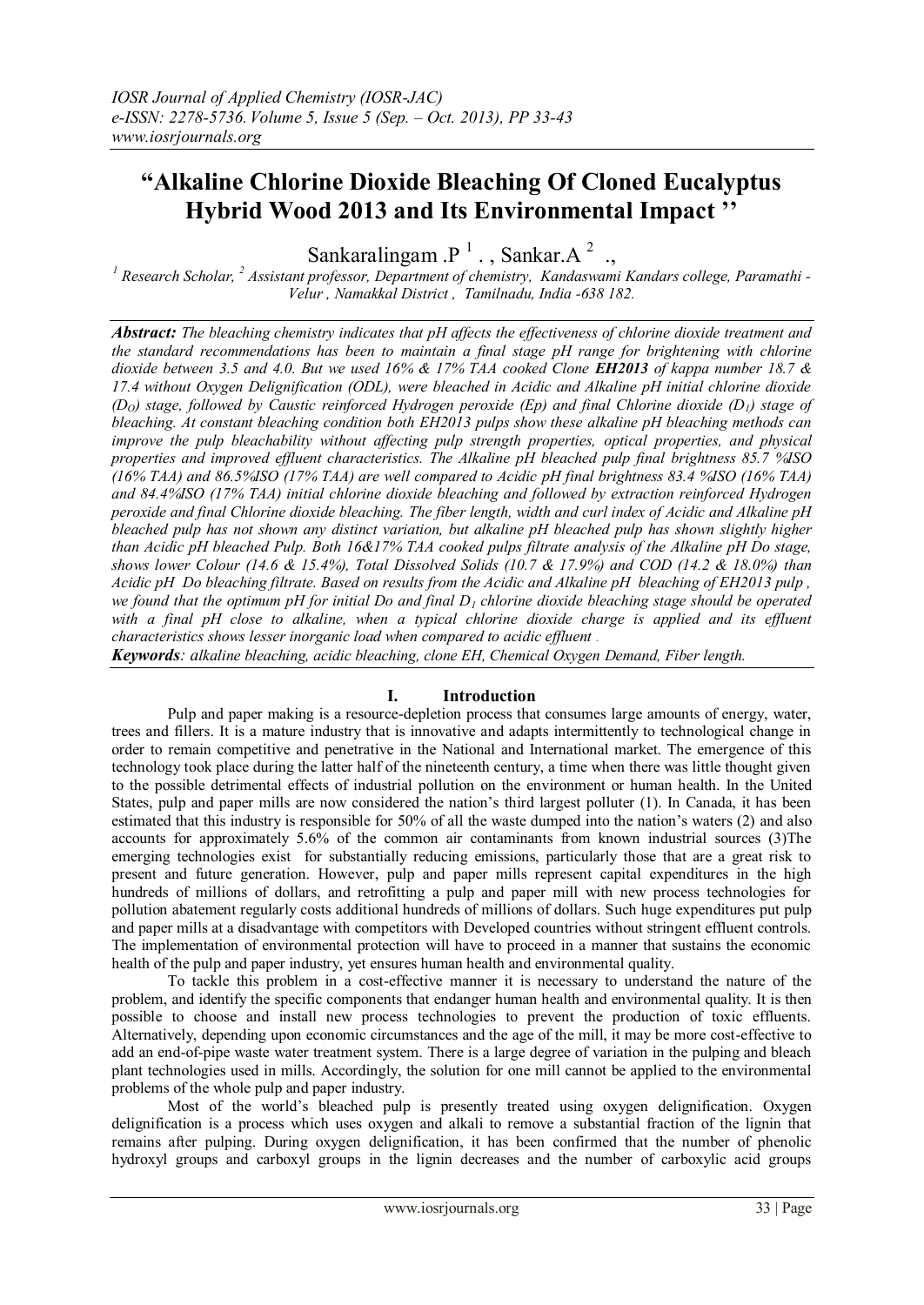# **"Alkaline Chlorine Dioxide Bleaching Of Cloned Eucalyptus Hybrid Wood 2013 and Its Environmental Impact ''**

Sankaralingam . $P^{-1}$ ., Sankar.A<sup>2</sup>.,

*<sup>1</sup> Research Scholar, <sup>2</sup> Assistant professor, Department of chemistry, Kandaswami Kandars college, Paramathi - Velur , Namakkal District , Tamilnadu, India -638 182.*

*Abstract: The bleaching chemistry indicates that pH affects the effectiveness of chlorine dioxide treatment and the standard recommendations has been to maintain a final stage pH range for brightening with chlorine dioxide between 3.5 and 4.0. But we used 16% & 17% TAA cooked Clone EH2013 of kappa number 18.7 & 17.4 without Oxygen Delignification (ODL), were bleached in Acidic and Alkaline pH initial chlorine dioxide (DO) stage, followed by Caustic reinforced Hydrogen peroxide (Ep) and final Chlorine dioxide (D1) stage of bleaching. At constant bleaching condition both EH2013 pulps show these alkaline pH bleaching methods can improve the pulp bleachability without affecting pulp strength properties, optical properties, and physical properties and improved effluent characteristics. The Alkaline pH bleached pulp final brightness 85.7 %ISO (16% TAA) and 86.5%ISO (17% TAA) are well compared to Acidic pH final brightness 83.4 %ISO (16% TAA) and 84.4%ISO (17% TAA) initial chlorine dioxide bleaching and followed by extraction reinforced Hydrogen peroxide and final Chlorine dioxide bleaching. The fiber length, width and curl index of Acidic and Alkaline pH bleached pulp has not shown any distinct variation, but alkaline pH bleached pulp has shown slightly higher than Acidic pH bleached Pulp. Both 16&17% TAA cooked pulps filtrate analysis of the Alkaline pH Do stage, shows lower Colour (14.6 & 15.4%), Total Dissolved Solids (10.7 & 17.9%) and COD (14.2 & 18.0%) than Acidic pH Do bleaching filtrate. Based on results from the Acidic and Alkaline pH bleaching of EH2013 pulp , we found that the optimum pH for initial Do and final D<sup>1</sup> chlorine dioxide bleaching stage should be operated*  with a final pH close to alkaline, when a typical chlorine dioxide charge is applied and its effluent *characteristics shows lesser inorganic load when compared to acidic effluent .*

*Keywords: alkaline bleaching, acidic bleaching, clone EH, Chemical Oxygen Demand, Fiber length.*

# **I. Introduction**

Pulp and paper making is a resource-depletion process that consumes large amounts of energy, water, trees and fillers. It is a mature industry that is innovative and adapts intermittently to technological change in order to remain competitive and penetrative in the National and International market. The emergence of this technology took place during the latter half of the nineteenth century, a time when there was little thought given to the possible detrimental effects of industrial pollution on the environment or human health. In the United States, pulp and paper mills are now considered the nation's third largest polluter (1). In Canada, it has been estimated that this industry is responsible for 50% of all the waste dumped into the nation's waters (2) and also accounts for approximately 5.6% of the common air contaminants from known industrial sources (3)The emerging technologies exist for substantially reducing emissions, particularly those that are a great risk to present and future generation. However, pulp and paper mills represent capital expenditures in the high hundreds of millions of dollars, and retrofitting a pulp and paper mill with new process technologies for pollution abatement regularly costs additional hundreds of millions of dollars. Such huge expenditures put pulp and paper mills at a disadvantage with competitors with Developed countries without stringent effluent controls. The implementation of environmental protection will have to proceed in a manner that sustains the economic health of the pulp and paper industry, yet ensures human health and environmental quality.

To tackle this problem in a cost-effective manner it is necessary to understand the nature of the problem, and identify the specific components that endanger human health and environmental quality. It is then possible to choose and install new process technologies to prevent the production of toxic effluents. Alternatively, depending upon economic circumstances and the age of the mill, it may be more cost-effective to add an end-of-pipe waste water treatment system. There is a large degree of variation in the pulping and bleach plant technologies used in mills. Accordingly, the solution for one mill cannot be applied to the environmental problems of the whole pulp and paper industry.

Most of the world's bleached pulp is presently treated using oxygen delignification. Oxygen delignification is a process which uses oxygen and alkali to remove a substantial fraction of the lignin that remains after pulping. During oxygen delignification, it has been confirmed that the number of phenolic hydroxyl groups and carboxyl groups in the lignin decreases and the number of carboxylic acid groups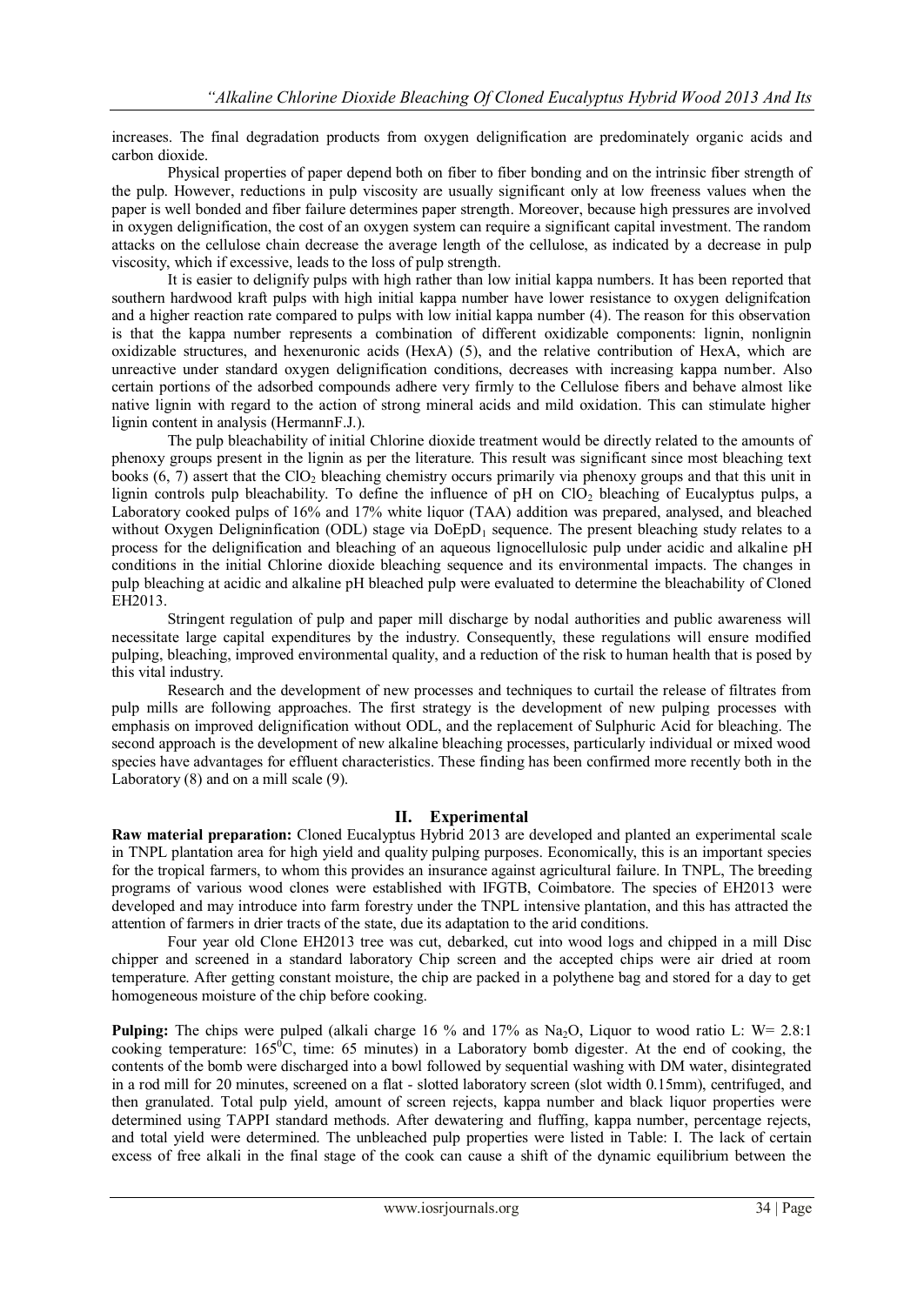increases. The final degradation products from oxygen delignification are predominately organic acids and carbon dioxide.

Physical properties of paper depend both on fiber to fiber bonding and on the intrinsic fiber strength of the pulp. However, reductions in pulp viscosity are usually significant only at low freeness values when the paper is well bonded and fiber failure determines paper strength. Moreover, because high pressures are involved in oxygen delignification, the cost of an oxygen system can require a significant capital investment. The random attacks on the cellulose chain decrease the average length of the cellulose, as indicated by a decrease in pulp viscosity, which if excessive, leads to the loss of pulp strength.

It is easier to delignify pulps with high rather than low initial kappa numbers. It has been reported that southern hardwood kraft pulps with high initial kappa number have lower resistance to oxygen delignifcation and a higher reaction rate compared to pulps with low initial kappa number (4). The reason for this observation is that the kappa number represents a combination of different oxidizable components: lignin, nonlignin oxidizable structures, and hexenuronic acids (HexA) (5), and the relative contribution of HexA, which are unreactive under standard oxygen delignification conditions, decreases with increasing kappa number. Also certain portions of the adsorbed compounds adhere very firmly to the Cellulose fibers and behave almost like native lignin with regard to the action of strong mineral acids and mild oxidation. This can stimulate higher lignin content in analysis (HermannF.J.).

The pulp bleachability of initial Chlorine dioxide treatment would be directly related to the amounts of phenoxy groups present in the lignin as per the literature. This result was significant since most bleaching text books  $(6, 7)$  assert that the ClO<sub>2</sub> bleaching chemistry occurs primarily via phenoxy groups and that this unit in lignin controls pulp bleachability. To define the influence of  $pH$  on  $ClO<sub>2</sub>$  bleaching of Eucalyptus pulps, a Laboratory cooked pulps of 16% and 17% white liquor (TAA) addition was prepared, analysed, and bleached without Oxygen Deligninfication (ODL) stage via  $DoEpD<sub>1</sub>$  sequence. The present bleaching study relates to a process for the delignification and bleaching of an aqueous lignocellulosic pulp under acidic and alkaline pH conditions in the initial Chlorine dioxide bleaching sequence and its environmental impacts. The changes in pulp bleaching at acidic and alkaline pH bleached pulp were evaluated to determine the bleachability of Cloned EH2013.

Stringent regulation of pulp and paper mill discharge by nodal authorities and public awareness will necessitate large capital expenditures by the industry. Consequently, these regulations will ensure modified pulping, bleaching, improved environmental quality, and a reduction of the risk to human health that is posed by this vital industry.

Research and the development of new processes and techniques to curtail the release of filtrates from pulp mills are following approaches. The first strategy is the development of new pulping processes with emphasis on improved delignification without ODL, and the replacement of Sulphuric Acid for bleaching. The second approach is the development of new alkaline bleaching processes, particularly individual or mixed wood species have advantages for effluent characteristics. These finding has been confirmed more recently both in the Laboratory (8) and on a mill scale (9).

# **II. Experimental**

**Raw material preparation:** Cloned Eucalyptus Hybrid 2013 are developed and planted an experimental scale in TNPL plantation area for high yield and quality pulping purposes. Economically, this is an important species for the tropical farmers, to whom this provides an insurance against agricultural failure. In TNPL, The breeding programs of various wood clones were established with IFGTB, Coimbatore. The species of EH2013 were developed and may introduce into farm forestry under the TNPL intensive plantation, and this has attracted the attention of farmers in drier tracts of the state, due its adaptation to the arid conditions.

Four year old Clone EH2013 tree was cut, debarked, cut into wood logs and chipped in a mill Disc chipper and screened in a standard laboratory Chip screen and the accepted chips were air dried at room temperature. After getting constant moisture, the chip are packed in a polythene bag and stored for a day to get homogeneous moisture of the chip before cooking.

**Pulping:** The chips were pulped (alkali charge 16 % and 17% as Na<sub>2</sub>O, Liquor to wood ratio L: W= 2.8:1 cooking temperature:  $165^{\circ}$ C, time: 65 minutes) in a Laboratory bomb digester. At the end of cooking, the contents of the bomb were discharged into a bowl followed by sequential washing with DM water, disintegrated in a rod mill for 20 minutes, screened on a flat - slotted laboratory screen (slot width 0.15mm), centrifuged, and then granulated. Total pulp yield, amount of screen rejects, kappa number and black liquor properties were determined using TAPPI standard methods. After dewatering and fluffing, kappa number, percentage rejects, and total yield were determined. The unbleached pulp properties were listed in Table: I. The lack of certain excess of free alkali in the final stage of the cook can cause a shift of the dynamic equilibrium between the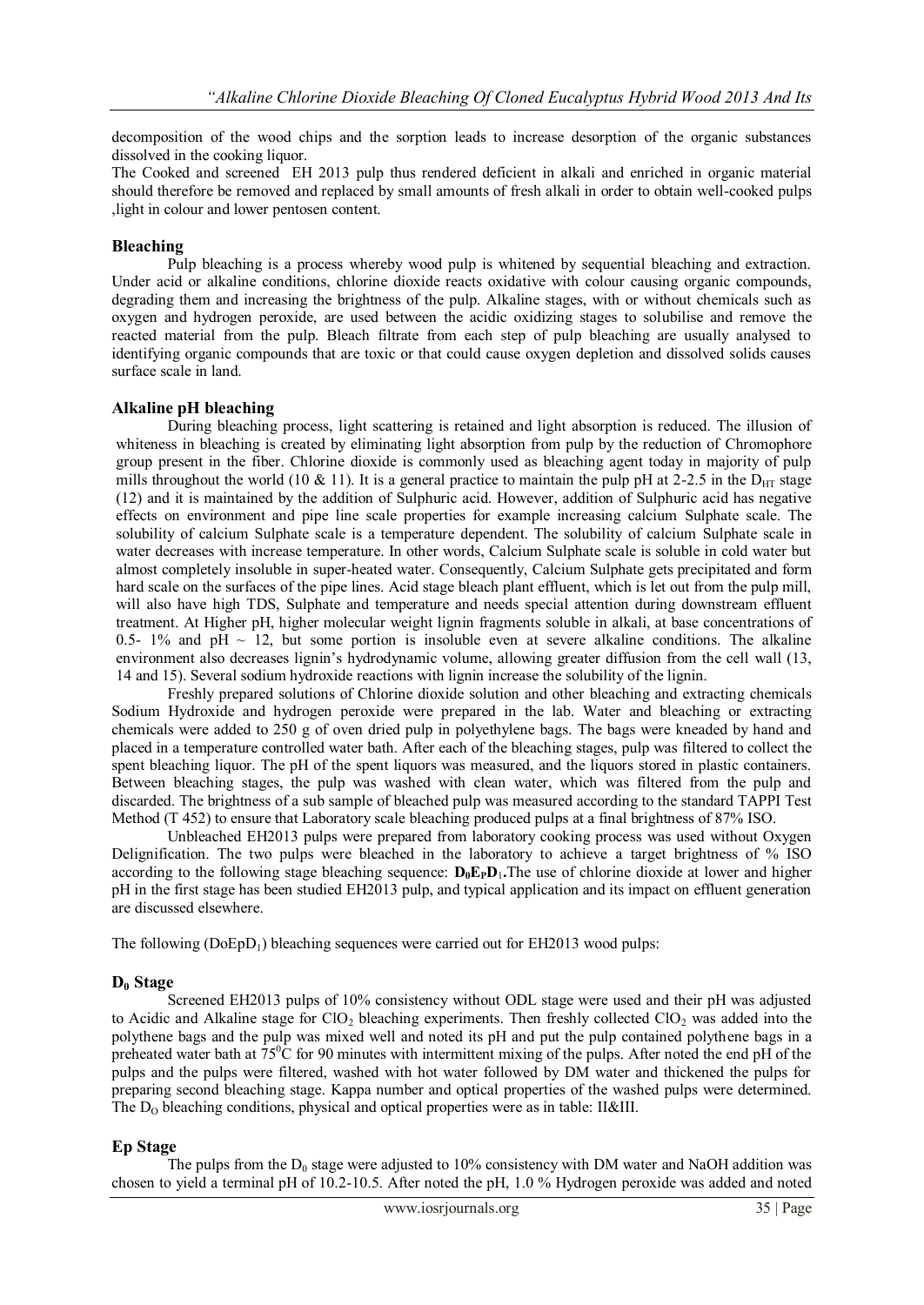decomposition of the wood chips and the sorption leads to increase desorption of the organic substances dissolved in the cooking liquor.

The Cooked and screened EH 2013 pulp thus rendered deficient in alkali and enriched in organic material should therefore be removed and replaced by small amounts of fresh alkali in order to obtain well-cooked pulps ,light in colour and lower pentosen content.

# **Bleaching**

Pulp bleaching is a process whereby wood pulp is whitened by sequential bleaching and extraction. Under acid or alkaline conditions, chlorine dioxide reacts oxidative with colour causing organic compounds, degrading them and increasing the brightness of the pulp. Alkaline stages, with or without chemicals such as oxygen and hydrogen peroxide, are used between the acidic oxidizing stages to solubilise and remove the reacted material from the pulp. Bleach filtrate from each step of pulp bleaching are usually analysed to identifying organic compounds that are toxic or that could cause oxygen depletion and dissolved solids causes surface scale in land.

# **Alkaline pH bleaching**

During bleaching process, light scattering is retained and light absorption is reduced. The illusion of whiteness in bleaching is created by eliminating light absorption from pulp by the reduction of Chromophore group present in the fiber. Chlorine dioxide is commonly used as bleaching agent today in majority of pulp mills throughout the world (10 & 11). It is a general practice to maintain the pulp pH at 2-2.5 in the  $D_{\text{HT}}$  stage (12) and it is maintained by the addition of Sulphuric acid. However, addition of Sulphuric acid has negative effects on environment and pipe line scale properties for example increasing calcium Sulphate scale. The solubility of calcium Sulphate scale is a temperature dependent. The solubility of calcium Sulphate scale in water decreases with increase temperature. In other words, Calcium Sulphate scale is soluble in cold water but almost completely insoluble in super-heated water. Consequently, Calcium Sulphate gets precipitated and form hard scale on the surfaces of the pipe lines. Acid stage bleach plant effluent, which is let out from the pulp mill, will also have high TDS, Sulphate and temperature and needs special attention during downstream effluent treatment. At Higher pH, higher molecular weight lignin fragments soluble in alkali, at base concentrations of 0.5- 1% and pH  $\sim$  12, but some portion is insoluble even at severe alkaline conditions. The alkaline environment also decreases lignin's hydrodynamic volume, allowing greater diffusion from the cell wall (13, 14 and 15). Several sodium hydroxide reactions with lignin increase the solubility of the lignin.

Freshly prepared solutions of Chlorine dioxide solution and other bleaching and extracting chemicals Sodium Hydroxide and hydrogen peroxide were prepared in the lab. Water and bleaching or extracting chemicals were added to 250 g of oven dried pulp in polyethylene bags. The bags were kneaded by hand and placed in a temperature controlled water bath. After each of the bleaching stages, pulp was filtered to collect the spent bleaching liquor. The pH of the spent liquors was measured, and the liquors stored in plastic containers. Between bleaching stages, the pulp was washed with clean water, which was filtered from the pulp and discarded. The brightness of a sub sample of bleached pulp was measured according to the standard TAPPI Test Method (T 452) to ensure that Laboratory scale bleaching produced pulps at a final brightness of 87% ISO.

Unbleached EH2013 pulps were prepared from laboratory cooking process was used without Oxygen Delignification. The two pulps were bleached in the laboratory to achieve a target brightness of % ISO according to the following stage bleaching sequence:  $D_0E_PD_1$ . The use of chlorine dioxide at lower and higher pH in the first stage has been studied EH2013 pulp, and typical application and its impact on effluent generation are discussed elsewhere.

The following  $(DoED_1)$  bleaching sequences were carried out for EH2013 wood pulps:

# **D<sup>0</sup> Stage**

Screened EH2013 pulps of 10% consistency without ODL stage were used and their pH was adjusted to Acidic and Alkaline stage for ClO<sub>2</sub> bleaching experiments. Then freshly collected ClO<sub>2</sub> was added into the polythene bags and the pulp was mixed well and noted its pH and put the pulp contained polythene bags in a preheated water bath at  $75^{\circ}$ C for 90 minutes with intermittent mixing of the pulps. After noted the end pH of the pulps and the pulps were filtered, washed with hot water followed by DM water and thickened the pulps for preparing second bleaching stage. Kappa number and optical properties of the washed pulps were determined. The  $D_0$  bleaching conditions, physical and optical properties were as in table: II&III.

# **Ep Stage**

The pulps from the  $D_0$  stage were adjusted to 10% consistency with DM water and NaOH addition was chosen to yield a terminal pH of 10.2-10.5. After noted the pH, 1.0 % Hydrogen peroxide was added and noted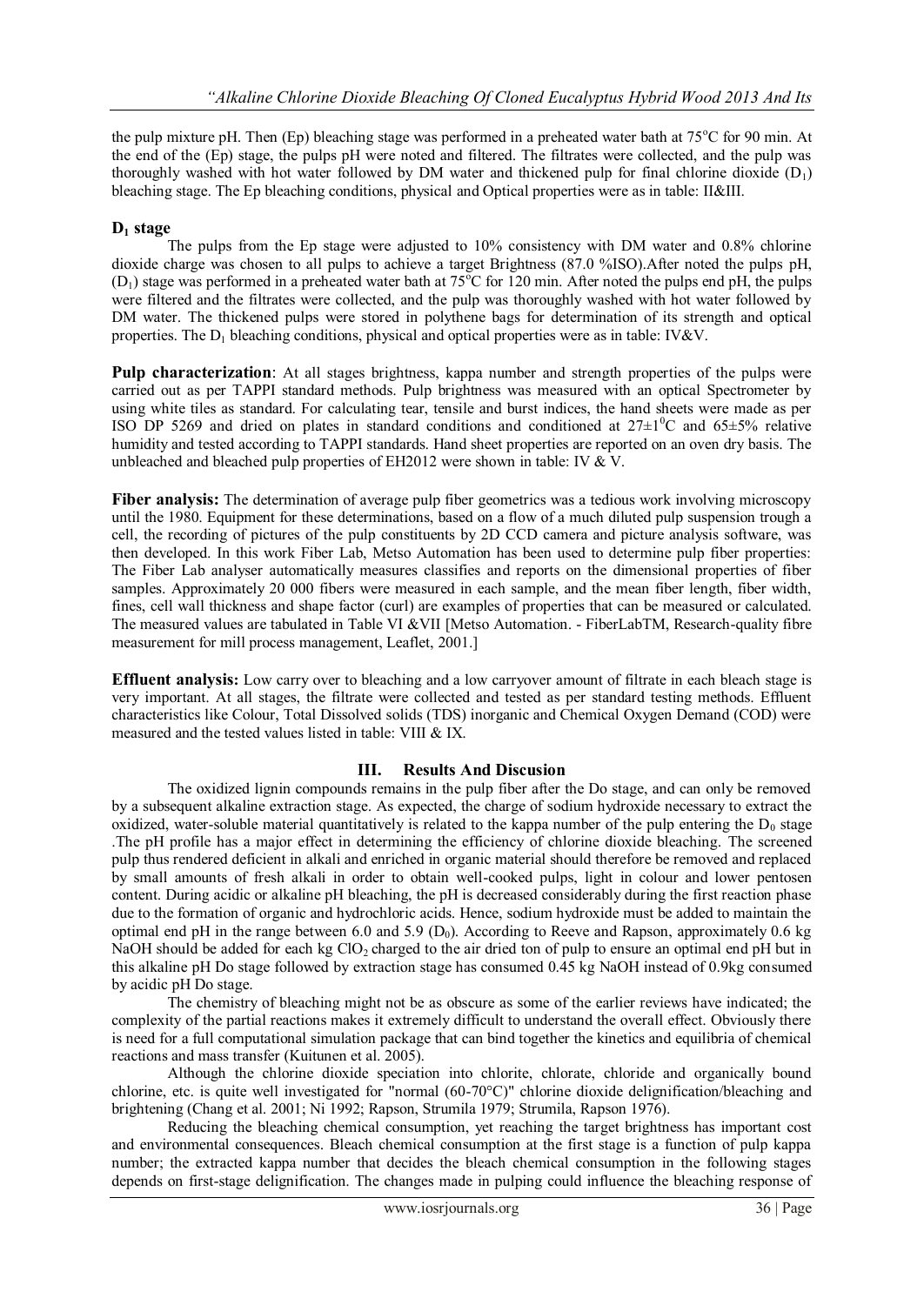the pulp mixture pH. Then (Ep) bleaching stage was performed in a preheated water bath at 75<sup>o</sup>C for 90 min. At the end of the (Ep) stage, the pulps pH were noted and filtered. The filtrates were collected, and the pulp was thoroughly washed with hot water followed by DM water and thickened pulp for final chlorine dioxide  $(D_1)$ bleaching stage. The Ep bleaching conditions, physical and Optical properties were as in table: II&III.

# **D<sup>1</sup> stage**

The pulps from the Ep stage were adjusted to 10% consistency with DM water and 0.8% chlorine dioxide charge was chosen to all pulps to achieve a target Brightness (87.0 %ISO).After noted the pulps pH,  $(D_1)$  stage was performed in a preheated water bath at 75<sup>o</sup>C for 120 min. After noted the pulps end pH, the pulps were filtered and the filtrates were collected, and the pulp was thoroughly washed with hot water followed by DM water. The thickened pulps were stored in polythene bags for determination of its strength and optical properties. The  $D_1$  bleaching conditions, physical and optical properties were as in table: IV&V.

**Pulp characterization**: At all stages brightness, kappa number and strength properties of the pulps were carried out as per TAPPI standard methods. Pulp brightness was measured with an optical Spectrometer by using white tiles as standard. For calculating tear, tensile and burst indices, the hand sheets were made as per ISO DP 5269 and dried on plates in standard conditions and conditioned at  $27\pm10^{\circ}$ C and  $65\pm5\%$  relative humidity and tested according to TAPPI standards. Hand sheet properties are reported on an oven dry basis. The unbleached and bleached pulp properties of EH2012 were shown in table: IV & V.

**Fiber analysis:** The determination of average pulp fiber geometrics was a tedious work involving microscopy until the 1980. Equipment for these determinations, based on a flow of a much diluted pulp suspension trough a cell, the recording of pictures of the pulp constituents by 2D CCD camera and picture analysis software, was then developed. In this work Fiber Lab, Metso Automation has been used to determine pulp fiber properties: The Fiber Lab analyser automatically measures classifies and reports on the dimensional properties of fiber samples. Approximately 20 000 fibers were measured in each sample, and the mean fiber length, fiber width, fines, cell wall thickness and shape factor (curl) are examples of properties that can be measured or calculated. The measured values are tabulated in Table VI &VII [Metso Automation. - FiberLabTM, Research-quality fibre measurement for mill process management, Leaflet, 2001.]

**Effluent analysis:** Low carry over to bleaching and a low carryover amount of filtrate in each bleach stage is very important. At all stages, the filtrate were collected and tested as per standard testing methods. Effluent characteristics like Colour, Total Dissolved solids (TDS) inorganic and Chemical Oxygen Demand (COD) were measured and the tested values listed in table: VIII & IX.

# **III. Results And Discusion**

The oxidized lignin compounds remains in the pulp fiber after the Do stage, and can only be removed by a subsequent alkaline extraction stage. As expected, the charge of sodium hydroxide necessary to extract the oxidized, water-soluble material quantitatively is related to the kappa number of the pulp entering the  $D_0$  stage .The pH profile has a major effect in determining the efficiency of chlorine dioxide bleaching. The screened pulp thus rendered deficient in alkali and enriched in organic material should therefore be removed and replaced by small amounts of fresh alkali in order to obtain well-cooked pulps, light in colour and lower pentosen content. During acidic or alkaline pH bleaching, the pH is decreased considerably during the first reaction phase due to the formation of organic and hydrochloric acids. Hence, sodium hydroxide must be added to maintain the optimal end pH in the range between 6.0 and 5.9 ( $D_0$ ). According to Reeve and Rapson, approximately 0.6 kg NaOH should be added for each kg ClO<sub>2</sub> charged to the air dried ton of pulp to ensure an optimal end pH but in this alkaline pH Do stage followed by extraction stage has consumed 0.45 kg NaOH instead of 0.9kg consumed by acidic pH Do stage.

The chemistry of bleaching might not be as obscure as some of the earlier reviews have indicated; the complexity of the partial reactions makes it extremely difficult to understand the overall effect. Obviously there is need for a full computational simulation package that can bind together the kinetics and equilibria of chemical reactions and mass transfer (Kuitunen et al. 2005).

Although the chlorine dioxide speciation into chlorite, chlorate, chloride and organically bound chlorine, etc. is quite well investigated for "normal (60-70°C)" chlorine dioxide delignification/bleaching and brightening (Chang et al. 2001; Ni 1992; Rapson, Strumila 1979; Strumila, Rapson 1976).

Reducing the bleaching chemical consumption, yet reaching the target brightness has important cost and environmental consequences. Bleach chemical consumption at the first stage is a function of pulp kappa number; the extracted kappa number that decides the bleach chemical consumption in the following stages depends on first-stage delignification. The changes made in pulping could influence the bleaching response of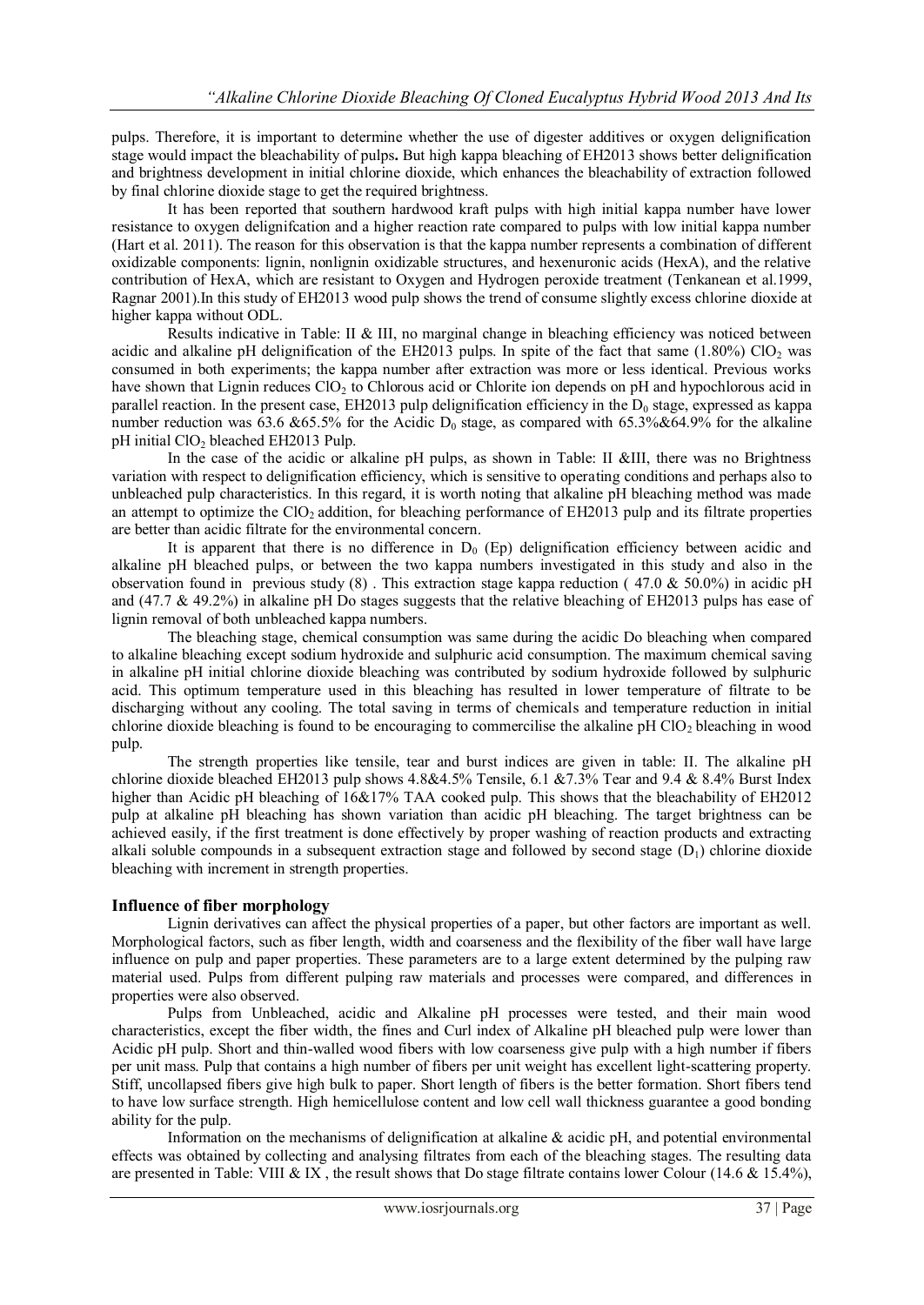pulps. Therefore, it is important to determine whether the use of digester additives or oxygen delignification stage would impact the bleachability of pulps**.** But high kappa bleaching of EH2013 shows better delignification and brightness development in initial chlorine dioxide, which enhances the bleachability of extraction followed by final chlorine dioxide stage to get the required brightness.

It has been reported that southern hardwood kraft pulps with high initial kappa number have lower resistance to oxygen delignifcation and a higher reaction rate compared to pulps with low initial kappa number (Hart et al. 2011). The reason for this observation is that the kappa number represents a combination of different oxidizable components: lignin, nonlignin oxidizable structures, and hexenuronic acids (HexA), and the relative contribution of HexA, which are resistant to Oxygen and Hydrogen peroxide treatment (Tenkanean et al.1999, Ragnar 2001).In this study of EH2013 wood pulp shows the trend of consume slightly excess chlorine dioxide at higher kappa without ODL.

Results indicative in Table: II & III, no marginal change in bleaching efficiency was noticed between acidic and alkaline pH delignification of the EH2013 pulps. In spite of the fact that same (1.80%) ClO<sub>2</sub> was consumed in both experiments; the kappa number after extraction was more or less identical. Previous works have shown that Lignin reduces ClO<sub>2</sub> to Chlorous acid or Chlorite ion depends on pH and hypochlorous acid in parallel reaction. In the present case,  $E$ H2013 pulp delignification efficiency in the  $D_0$  stage, expressed as kappa number reduction was  $\overline{63.6}$  &65.5% for the Acidic D<sub>0</sub> stage, as compared with 65.3%&64.9% for the alkaline pH initial ClO<sub>2</sub> bleached EH2013 Pulp.

In the case of the acidic or alkaline pH pulps, as shown in Table: II &III, there was no Brightness variation with respect to delignification efficiency, which is sensitive to operating conditions and perhaps also to unbleached pulp characteristics. In this regard, it is worth noting that alkaline pH bleaching method was made an attempt to optimize the  $ClO<sub>2</sub>$  addition, for bleaching performance of EH2013 pulp and its filtrate properties are better than acidic filtrate for the environmental concern.

It is apparent that there is no difference in  $D_0$  (Ep) delignification efficiency between acidic and alkaline pH bleached pulps, or between the two kappa numbers investigated in this study and also in the observation found in previous study (8). This extraction stage kappa reduction (47.0  $\&$  50.0%) in acidic pH and (47.7 & 49.2%) in alkaline pH Do stages suggests that the relative bleaching of EH2013 pulps has ease of lignin removal of both unbleached kappa numbers.

The bleaching stage, chemical consumption was same during the acidic Do bleaching when compared to alkaline bleaching except sodium hydroxide and sulphuric acid consumption. The maximum chemical saving in alkaline pH initial chlorine dioxide bleaching was contributed by sodium hydroxide followed by sulphuric acid. This optimum temperature used in this bleaching has resulted in lower temperature of filtrate to be discharging without any cooling. The total saving in terms of chemicals and temperature reduction in initial chlorine dioxide bleaching is found to be encouraging to commercilise the alkaline pH  $ClO<sub>2</sub>$  bleaching in wood pulp.

The strength properties like tensile, tear and burst indices are given in table: II. The alkaline pH chlorine dioxide bleached EH2013 pulp shows 4.8&4.5% Tensile, 6.1 &7.3% Tear and 9.4 & 8.4% Burst Index higher than Acidic pH bleaching of 16&17% TAA cooked pulp. This shows that the bleachability of EH2012 pulp at alkaline pH bleaching has shown variation than acidic pH bleaching. The target brightness can be achieved easily, if the first treatment is done effectively by proper washing of reaction products and extracting alkali soluble compounds in a subsequent extraction stage and followed by second stage  $(D_1)$  chlorine dioxide bleaching with increment in strength properties.

# **Influence of fiber morphology**

Lignin derivatives can affect the physical properties of a paper, but other factors are important as well. Morphological factors, such as fiber length, width and coarseness and the flexibility of the fiber wall have large influence on pulp and paper properties. These parameters are to a large extent determined by the pulping raw material used. Pulps from different pulping raw materials and processes were compared, and differences in properties were also observed.

Pulps from Unbleached, acidic and Alkaline pH processes were tested, and their main wood characteristics, except the fiber width, the fines and Curl index of Alkaline pH bleached pulp were lower than Acidic pH pulp. Short and thin-walled wood fibers with low coarseness give pulp with a high number if fibers per unit mass. Pulp that contains a high number of fibers per unit weight has excellent light-scattering property. Stiff, uncollapsed fibers give high bulk to paper. Short length of fibers is the better formation. Short fibers tend to have low surface strength. High hemicellulose content and low cell wall thickness guarantee a good bonding ability for the pulp.

Information on the mechanisms of delignification at alkaline & acidic pH, and potential environmental effects was obtained by collecting and analysing filtrates from each of the bleaching stages. The resulting data are presented in Table: VIII & IX, the result shows that Do stage filtrate contains lower Colour (14.6  $\&$  15.4%),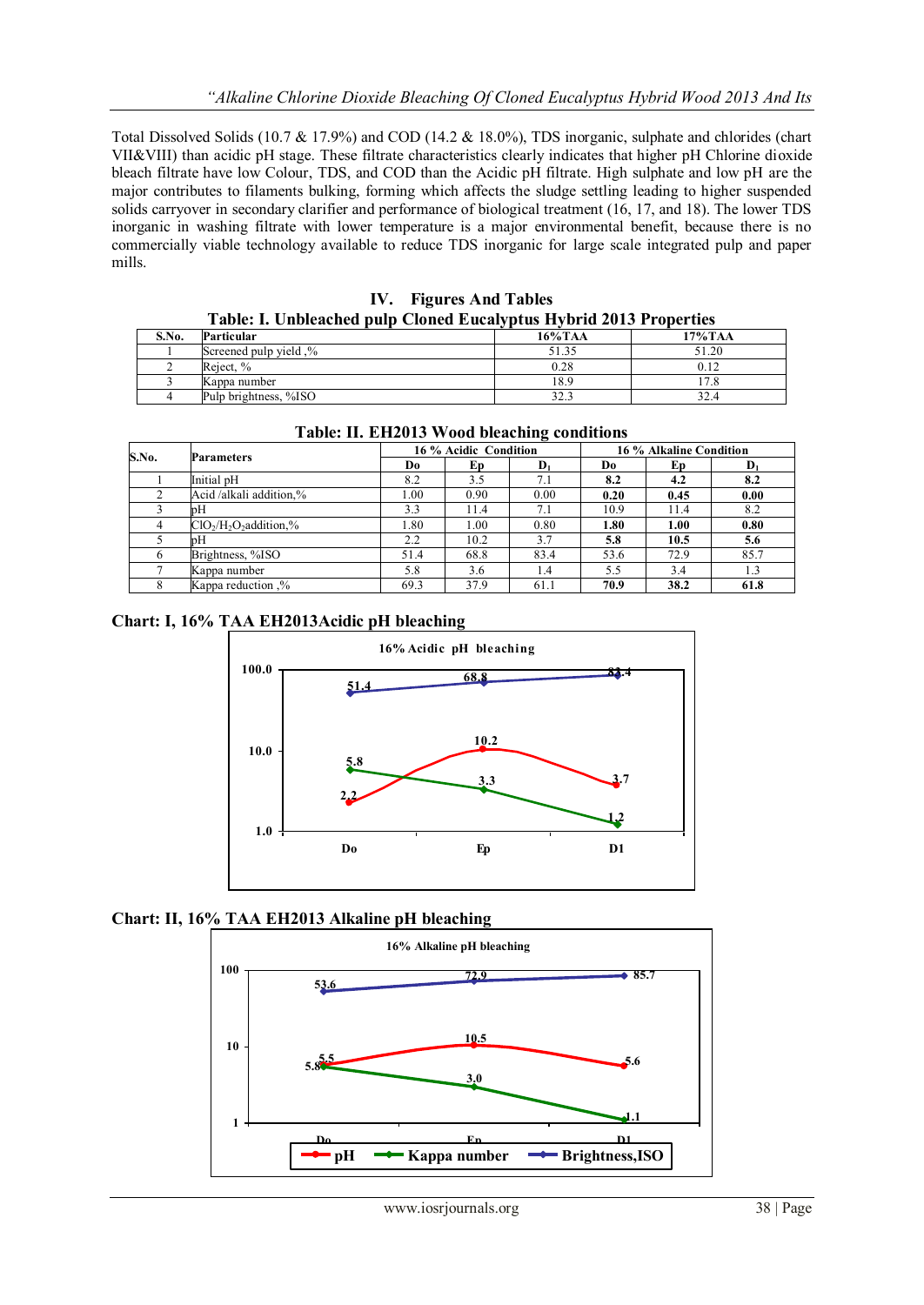Total Dissolved Solids (10.7 & 17.9%) and COD (14.2 & 18.0%), TDS inorganic, sulphate and chlorides (chart VII&VIII) than acidic pH stage. These filtrate characteristics clearly indicates that higher pH Chlorine dioxide bleach filtrate have low Colour, TDS, and COD than the Acidic pH filtrate. High sulphate and low pH are the major contributes to filaments bulking, forming which affects the sludge settling leading to higher suspended solids carryover in secondary clarifier and performance of biological treatment (16, 17, and 18). The lower TDS inorganic in washing filtrate with lower temperature is a major environmental benefit, because there is no commercially viable technology available to reduce TDS inorganic for large scale integrated pulp and paper mills.

| IV. Figures And Tables                                             |  |
|--------------------------------------------------------------------|--|
| Table: I. Unbleached pulp Cloned Eucalyptus Hybrid 2013 Properties |  |

|       | .                        | .          |                |
|-------|--------------------------|------------|----------------|
| S.No. | Particular               | $16\%$ TAA | 17%TAA         |
|       | Screened pulp yield $\%$ | 51.35      | 51.20          |
|       | Reiect. %                | 0.28       |                |
|       | Kappa number             | 18.9       | $\overline{ }$ |
|       | Pulp brightness, %ISO    |            | 32.4           |

| Table: II. EH2015 Wood bleaching conditions |                         |      |                       |                |      |                         |                |  |  |
|---------------------------------------------|-------------------------|------|-----------------------|----------------|------|-------------------------|----------------|--|--|
|                                             |                         |      | 16 % Acidic Condition |                |      | 16 % Alkaline Condition |                |  |  |
| S.No.                                       | <b>Parameters</b>       | Do   | Ep                    | $\mathbf{D}_1$ | Do.  | Еp                      | $\mathbf{D}_1$ |  |  |
|                                             | Initial pH              | 8.2  | 3.5                   | 7.1            | 8.2  | 4.2                     | 8.2            |  |  |
|                                             | Acid/alkali addition,%  | 1.00 | 0.90                  | 0.00           | 0.20 | 0.45                    | 0.00           |  |  |
|                                             | pН                      | 3.3  | 11.4                  | 7.1            | 10.9 | 11.4                    | 8.2            |  |  |
|                                             | $ClO2/H2O2 addition2$ % | 1.80 | 1.00                  | 0.80           | 1.80 | 1.00                    | 0.80           |  |  |
|                                             | pН                      | 2.2  | 10.2                  | 3.7            | 5.8  | 10.5                    | 5.6            |  |  |
|                                             | Brightness, %ISO        | 51.4 | 68.8                  | 83.4           | 53.6 | 72.9                    | 85.7           |  |  |
|                                             | Kappa number            | 5.8  | 3.6                   | 1.4            | 5.5  | 3.4                     | 1.3            |  |  |
|                                             | Kappa reduction .%      | 69.3 | 37.9                  | 61.1           | 70.9 | 38.2                    | 61.8           |  |  |

**Table: II. EH2013 Wood bleaching conditions**

# **Chart: I, 16% TAA EH2013Acidic pH bleaching**



**Chart: II, 16% TAA EH2013 Alkaline pH bleaching**

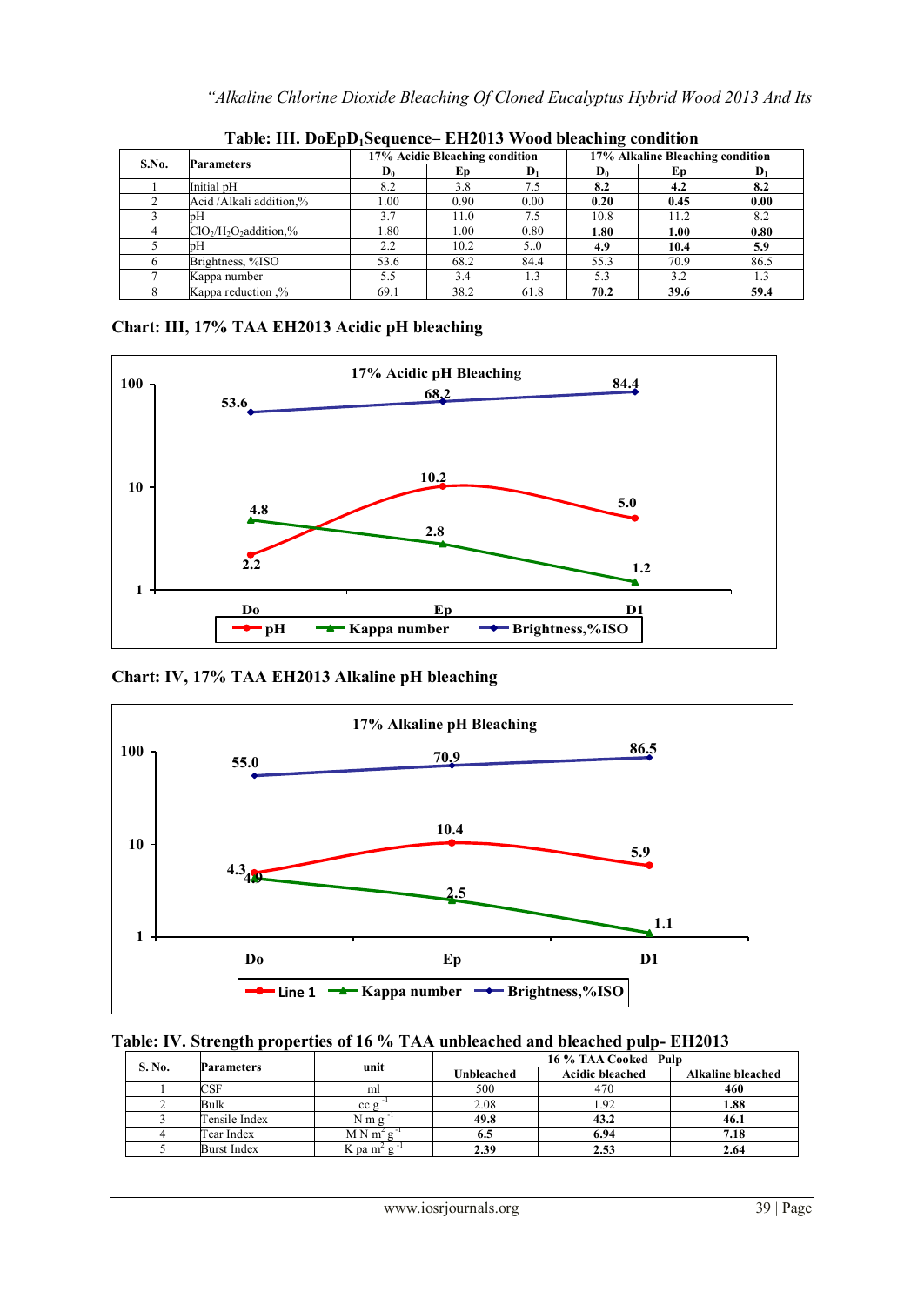| S.No. | <b>Parameters</b>      | 17% Acidic Bleaching condition |      |                | 17% Alkaline Bleaching condition |      |                |  |
|-------|------------------------|--------------------------------|------|----------------|----------------------------------|------|----------------|--|
|       |                        | $\mathbf{D}_0$                 | Еp   | $\mathbf{D}_1$ | $\mathbf{D}_0$                   | Ep.  | $\mathbf{D}_1$ |  |
|       | Initial pH             | 8.2                            | 3.8  | 7.5            | 8.2                              | 4.2  | 8.2            |  |
|       | Acid/Alkali addition,% | 00.1                           | 0.90 | 0.00           | 0.20                             | 0.45 | 0.00           |  |
|       | pН                     | 3.7                            | 11.0 | 7.5            | 10.8                             | 11.2 | 8.2            |  |
|       | $ClO2/H2O2$ addition,% | .80                            | 00.1 | 0.80           | 1.80                             | 1.00 | 0.80           |  |
|       | pН                     | 2.2                            | 10.2 | 5.0            | 4.9                              | 10.4 | 5.9            |  |
|       | Brightness, %ISO       | 53.6                           | 68.2 | 84.4           | 55.3                             | 70.9 | 86.5           |  |
|       | Kappa number           | 5.5                            | 3.4  | $\perp$ .3     | 5.3                              | 3.2  | 1.3            |  |
|       | Kappa reduction .%     | 69.1                           | 38.2 | 61.8           | 70.2                             | 39.6 | 59.4           |  |

**Table: III. DoEpD1Sequence– EH2013 Wood bleaching condition**

# **Chart: III, 17% TAA EH2013 Acidic pH bleaching**



**Chart: IV, 17% TAA EH2013 Alkaline pH bleaching** 



# **Table: IV. Strength properties of 16 % TAA unbleached and bleached pulp- EH2013**

| S. No. |                    | unit                                  | 16 % TAA Cooked Pulp |                        |      |  |  |  |
|--------|--------------------|---------------------------------------|----------------------|------------------------|------|--|--|--|
|        | Parameters         |                                       | Unbleached           | <b>Acidic bleached</b> |      |  |  |  |
|        | CSF                | ml                                    | 500                  | 470                    | 460  |  |  |  |
|        | Bulk               | cc g                                  | 2.08                 |                        | 1.88 |  |  |  |
|        | Tensile Index      | $N \, m \, g$                         | 49.8                 | 43.2                   | 46.1 |  |  |  |
|        | Tear Index         | $MN \, m^2$                           | 6.5                  | 6.94                   | 7.18 |  |  |  |
|        | <b>Burst Index</b> | $K$ pa m <sup><math>\sim</math></sup> | 2.39                 | 2.53                   | 2.64 |  |  |  |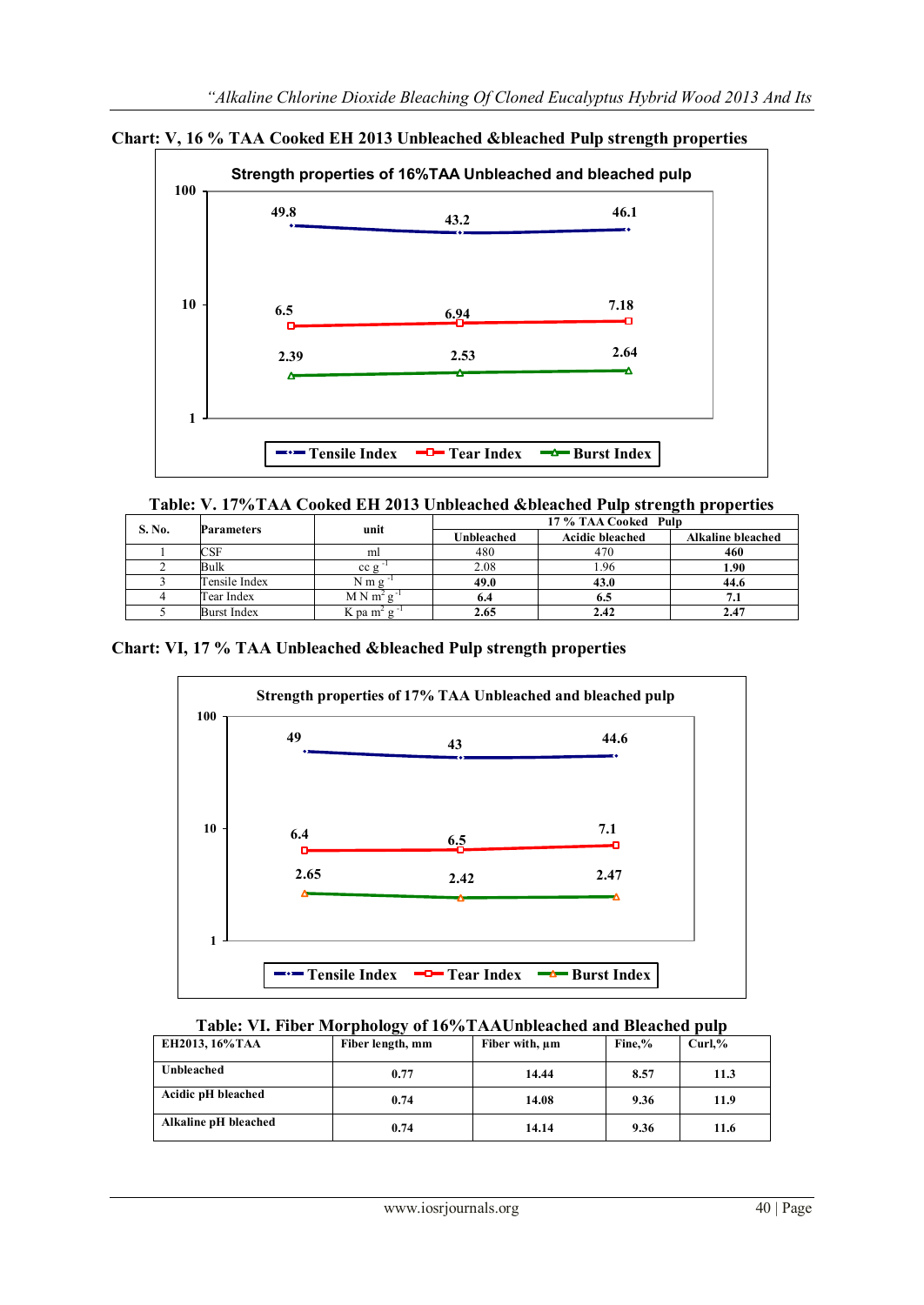

**Chart: V, 16 % TAA Cooked EH 2013 Unbleached &bleached Pulp strength properties** 

|                              |                    |             | 17 % TAA Cooked Pulp |                        |                          |  |  |
|------------------------------|--------------------|-------------|----------------------|------------------------|--------------------------|--|--|
| S. No.<br>unit<br>Parameters |                    |             | Unbleached           | <b>Acidic bleached</b> | <b>Alkaline bleached</b> |  |  |
|                              | <b>CSF</b>         | ml          | 480                  | 470                    | 460                      |  |  |
|                              | Bulk               | ccg         | 2.08                 | -96                    | 1.90                     |  |  |
|                              | Tensile Index      | Nmg         | 49.0                 | 43.0                   | 44.6                     |  |  |
|                              | Tear Index         | $M N m^2 g$ | 6.4                  | 0.J                    | 7.1                      |  |  |
|                              | <b>Burst Index</b> | K pa $m^2$  | 2.65                 | 2.42                   |                          |  |  |

**Chart: VI, 17 % TAA Unbleached &bleached Pulp strength properties** 



# **Table: VI. Fiber Morphology of 16%TAAUnbleached and Bleached pulp**

| EH2013, 16% TAA      | Fiber length, mm | Fiber with, $\mu$ m | Fine.% | Curl.% |
|----------------------|------------------|---------------------|--------|--------|
| Unbleached           | 0.77             | 14.44               | 8.57   | 11.3   |
| Acidic pH bleached   | 0.74             | 14.08               | 9.36   | 11.9   |
| Alkaline pH bleached | 0.74             | 14.14               | 9.36   | 11.6   |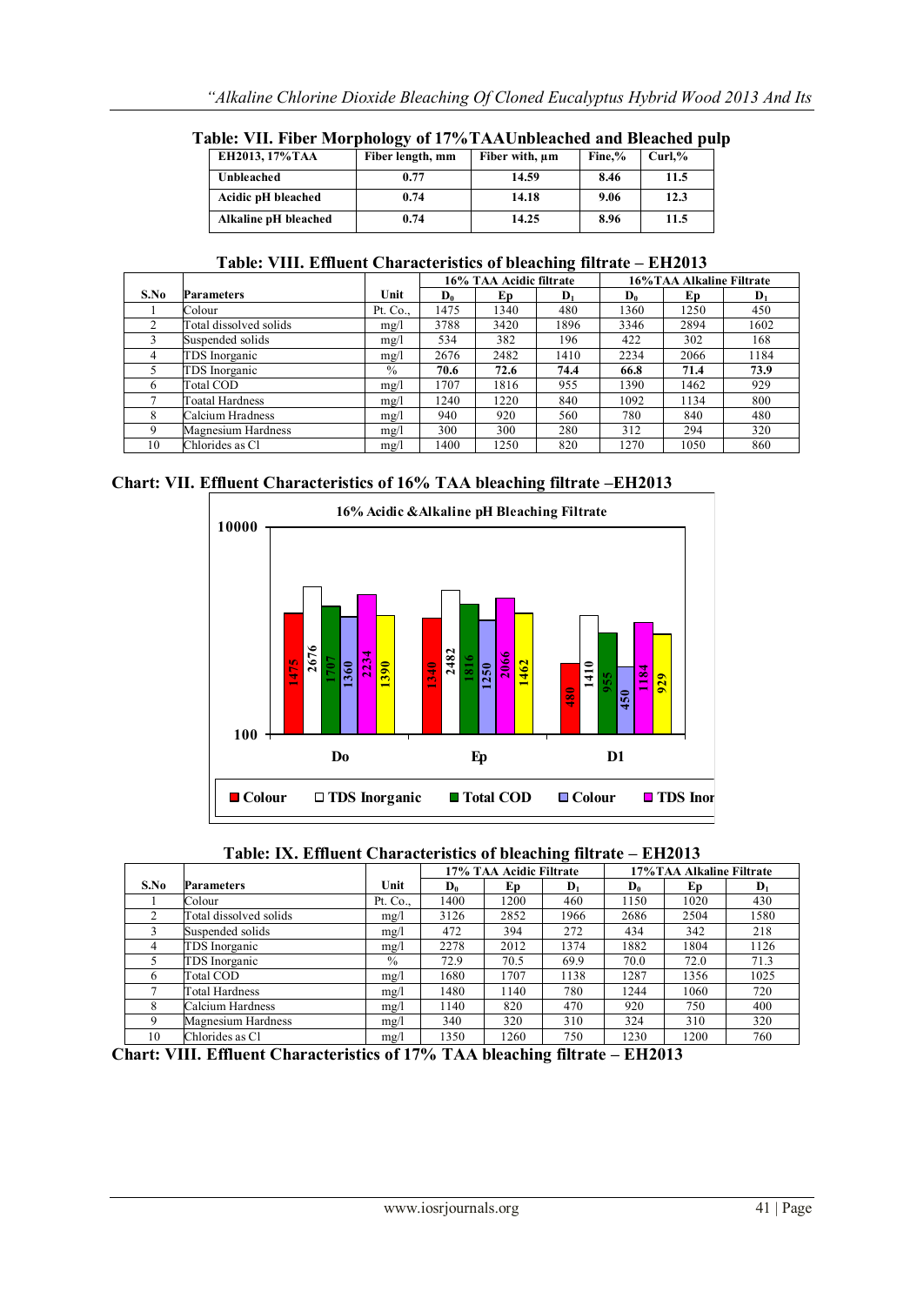| EH2013, 17%TAA       | Fiber length, mm | Fiber with, um | Fine.% | $Curl.$ % |
|----------------------|------------------|----------------|--------|-----------|
| Unbleached           | 0.77             | 14.59          | 8.46   | 11.5      |
| Acidic pH bleached   | 0.74             | 14.18          | 9.06   | 12.3      |
| Alkaline pH bleached | 0.74             | 14.25          | 8.96   | 11.5      |

**Table: VII. Fiber Morphology of 17%TAAUnbleached and Bleached pulp**

| Table: VIII. Effluent Characteristics of bleaching filtrate – EH2013 |  |
|----------------------------------------------------------------------|--|
|----------------------------------------------------------------------|--|

|      |                        |               | 16% TAA Acidic filtrate |      |                | 16%TAA Alkaline Filtrate |      |                |
|------|------------------------|---------------|-------------------------|------|----------------|--------------------------|------|----------------|
| S.No | <b>Parameters</b>      | Unit          | $D_0$                   | Ep   | $\mathbf{D}_1$ | $\mathbf{D}_0$           | Ep   | $\mathbf{D}_1$ |
|      | Colour                 | Pt. Co.,      | 1475                    | 1340 | 480            | 1360                     | 1250 | 450            |
|      | Total dissolved solids | mg/l          | 3788                    | 3420 | 1896           | 3346                     | 2894 | 1602           |
|      | Suspended solids       | mg/l          | 534                     | 382  | 196            | 422                      | 302  | 168            |
| 4    | TDS Inorganic          | mg/l          | 2676                    | 2482 | 1410           | 2234                     | 2066 | 1184           |
|      | TDS Inorganic          | $\frac{0}{0}$ | 70.6                    | 72.6 | 74.4           | 66.8                     | 71.4 | 73.9           |
| 6    | Total COD              | mg/l          | 1707                    | 1816 | 955            | 1390                     | 1462 | 929            |
|      | Toatal Hardness        | mg/l          | 1240                    | 1220 | 840            | 1092                     | 1134 | 800            |
| 8    | Calcium Hradness       | mg/l          | 940                     | 920  | 560            | 780                      | 840  | 480            |
| 9    | Magnesium Hardness     | mg/l          | 300                     | 300  | 280            | 312                      | 294  | 320            |
| 10   | Chlorides as Cl        | mg/l          | 1400                    | 1250 | 820            | 1270                     | 1050 | 860            |

**Chart: VII. Effluent Characteristics of 16% TAA bleaching filtrate –EH2013**



**Table: IX. Effluent Characteristics of bleaching filtrate – EH2013**

|      |                           |               | 17% TAA Acidic Filtrate |      |                | 17% TAA Alkaline Filtrate |      |                |
|------|---------------------------|---------------|-------------------------|------|----------------|---------------------------|------|----------------|
| S.No | <b>Parameters</b>         | Unit          | Do.                     | Ep   | $\mathbf{D}_1$ | D <sub>0</sub>            | Ep   | $\mathbf{D}_1$ |
|      | Colour                    | Pt. Co.,      | 1400                    | 1200 | 460            | 1150                      | 1020 | 430            |
| 2    | Total dissolved solids    | mg/l          | 3126                    | 2852 | 1966           | 2686                      | 2504 | 1580           |
|      | Suspended solids          | mg/l          | 472                     | 394  | 272            | 434                       | 342  | 218            |
| 4    | TDS Inorganic             | mg/l          | 2278                    | 2012 | 1374           | 1882                      | 1804 | 1126           |
| 5    | TDS Inorganic             | $\frac{0}{0}$ | 72.9                    | 70.5 | 69.9           | 70.0                      | 72.0 | 71.3           |
| 6    | Total COD                 | mg/l          | 1680                    | 1707 | 1138           | 1287                      | 1356 | 1025           |
| ⇁    | Total Hardness            | mg/l          | 1480                    | 1140 | 780            | 1244                      | 1060 | 720            |
| 8    | Calcium Hardness          | mg/l          | 1140                    | 820  | 470            | 920                       | 750  | 400            |
| 9    | <b>Magnesium Hardness</b> | mg/l          | 340                     | 320  | 310            | 324                       | 310  | 320            |
| 10   | Chlorides as Cl           | mg/l          | 1350                    | 1260 | 750            | 1230                      | 1200 | 760            |

**Chart: VIII. Effluent Characteristics of 17% TAA bleaching filtrate – EH2013**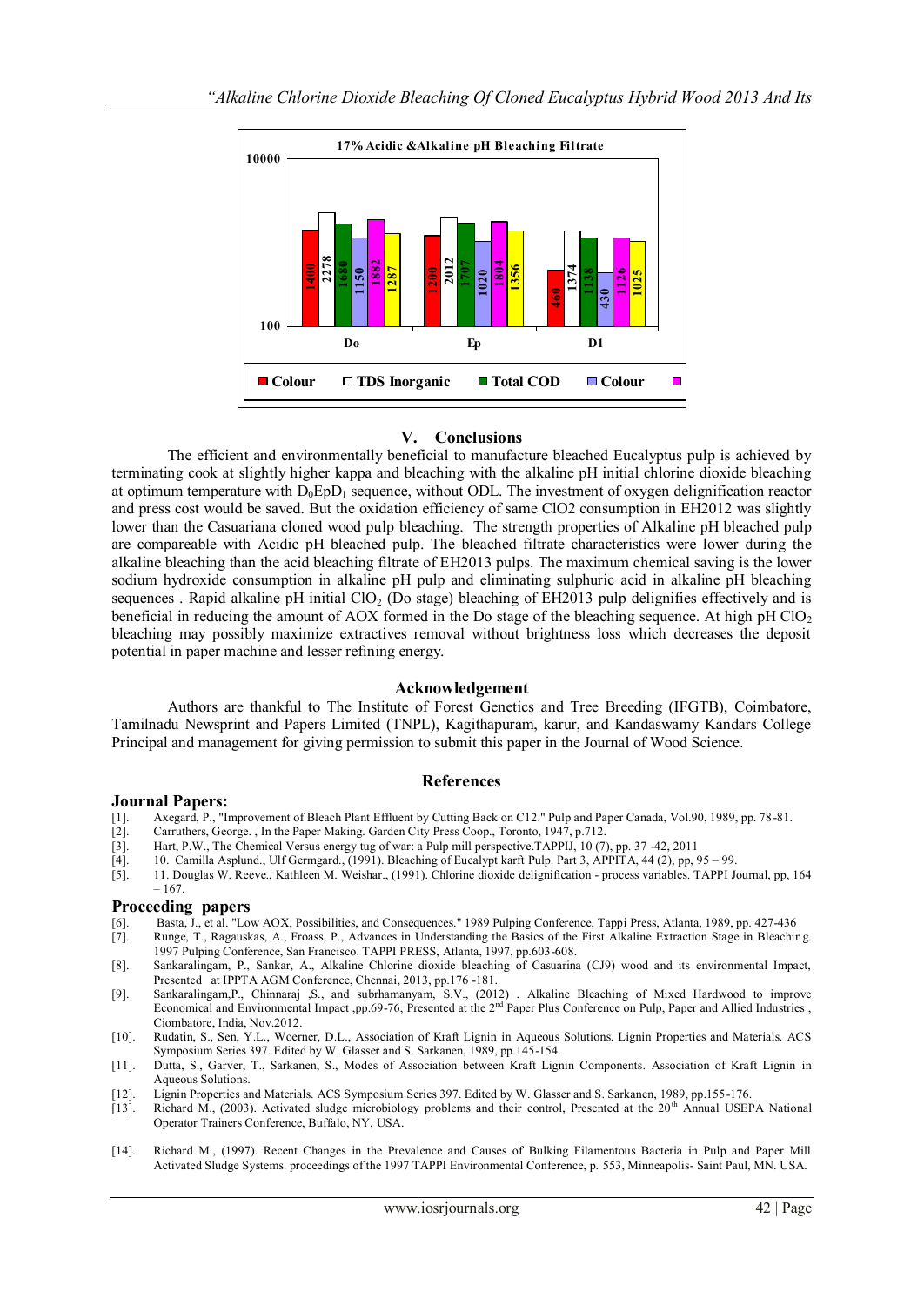

# **V. Conclusions**

The efficient and environmentally beneficial to manufacture bleached Eucalyptus pulp is achieved by terminating cook at slightly higher kappa and bleaching with the alkaline pH initial chlorine dioxide bleaching at optimum temperature with  $D_0EDD_1$  sequence, without ODL. The investment of oxygen delignification reactor and press cost would be saved. But the oxidation efficiency of same ClO2 consumption in EH2012 was slightly lower than the Casuariana cloned wood pulp bleaching. The strength properties of Alkaline pH bleached pulp are compareable with Acidic pH bleached pulp. The bleached filtrate characteristics were lower during the alkaline bleaching than the acid bleaching filtrate of EH2013 pulps. The maximum chemical saving is the lower sodium hydroxide consumption in alkaline pH pulp and eliminating sulphuric acid in alkaline pH bleaching sequences . Rapid alkaline pH initial  $ClO<sub>2</sub>$  (Do stage) bleaching of EH2013 pulp delignifies effectively and is beneficial in reducing the amount of AOX formed in the Do stage of the bleaching sequence. At high pH  $ClO<sub>2</sub>$ bleaching may possibly maximize extractives removal without brightness loss which decreases the deposit potential in paper machine and lesser refining energy.

#### **Acknowledgement**

Authors are thankful to The Institute of Forest Genetics and Tree Breeding (IFGTB), Coimbatore, Tamilnadu Newsprint and Papers Limited (TNPL), Kagithapuram, karur, and Kandaswamy Kandars College Principal and management for giving permission to submit this paper in the Journal of Wood Science.

#### **References**

#### **Journal Papers:**

- [1]. Axegard, P., "Improvement of Bleach Plant Effluent by Cutting Back on C12." Pulp and Paper Canada, Vol.90, 1989, pp. 78-81.<br>[2]. Carruthers, George., In the Paper Making, Garden City Press Coop., Toronto, 1947, p.712.
- Carruthers, George. , In the Paper Making. Garden City Press Coop., Toronto, 1947, p.712.
- [3]. Hart, P.W., The Chemical Versus energy tug of war: a Pulp mill perspective.TAPPIJ, 10 (7), pp. 37 -42, 2011
- [4]. 10. Camilla Asplund., Ulf Germgard., (1991). Bleaching of Eucalypt karft Pulp. Part 3, APPITA, 44 (2), pp, 95 99.
- [5]. 11. Douglas W. Reeve., Kathleen M. Weishar., (1991). Chlorine dioxide delignification process variables. TAPPI Journal, pp, 164  $-167.$

# **Proceeding papers**

- [6]. Basta, J., et al. "Low AOX, Possibilities, and Consequences." 1989 Pulping Conference, Tappi Press, Atlanta, 1989, pp. 427-436 [7]. Runge, T., Ragauskas, A., Froass, P., Advances in Understanding the Basics of the Fir Runge, T., Ragauskas, A., Froass, P., Advances in Understanding the Basics of the First Alkaline Extraction Stage in Bleaching.
- 1997 Pulping Conference, San Francisco. TAPPI PRESS, Atlanta, 1997, pp.603-608. [8]. Sankaralingam, P., Sankar, A., Alkaline Chlorine dioxide bleaching of Casuarina (CJ9) wood and its environmental Impact, Presented at IPPTA AGM Conference, Chennai, 2013, pp.176 -181.
- [9]. Sankaralingam, P., Chinnaraj , S., and subrhamanyam, S.V., (2012). Alkaline Bleaching of Mixed Hardwood to improve Economical and Environmental Impact ,pp.69-76, Presented at the 2<sup>nd</sup> Paper Plus Conference on Pulp, P Ciombatore, India, Nov.2012.
- [10]. Rudatin, S., Sen, Y.L., Woerner, D.L., Association of Kraft Lignin in Aqueous Solutions. Lignin Properties and Materials. ACS Symposium Series 397. Edited by W. Glasser and S. Sarkanen, 1989, pp.145-154.
- [11]. Dutta, S., Garver, T., Sarkanen, S., Modes of Association between Kraft Lignin Components. Association of Kraft Lignin in Aqueous Solutions.
- [12]. Lignin Properties and Materials. ACS Symposium Series 397. Edited by W. Glasser and S. Sarkanen, 1989, pp.155-176.<br>[13]. Richard M., (2003). Activated sludge microbiology problems and their control, Presented at the
- Richard M., (2003). Activated sludge microbiology problems and their control, Presented at the 20<sup>th</sup> Annual USEPA National Operator Trainers Conference, Buffalo, NY, USA.
- [14]. Richard M., (1997). Recent Changes in the Prevalence and Causes of Bulking Filamentous Bacteria in Pulp and Paper Mill Activated Sludge Systems. proceedings of the 1997 TAPPI Environmental Conference, p. 553, Minneapolis- Saint Paul, MN. USA.